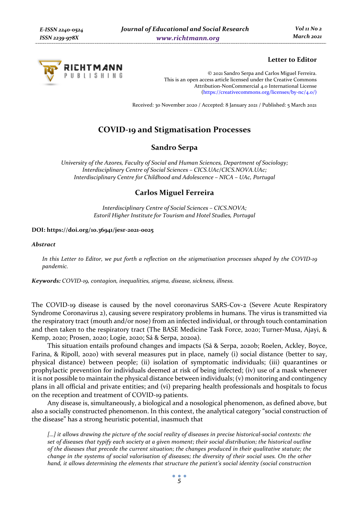

# **Letter to Editor**

© 2021 Sandro Serpa and Carlos Miguel Ferreira. This is an open access article licensed under the Creative Commons Attribution-NonCommercial 4.0 International License (https://creativecommons.org/licenses/by-nc/4.0/)

Received: 30 November 2020 / Accepted: 8 January 2021 / Published: 5 March 2021

# **COVID-19 and Stigmatisation Processes**

## **Sandro Serpa**

*University of the Azores, Faculty of Social and Human Sciences, Department of Sociology; Interdisciplinary Centre of Social Sciences – CICS.UAc/CICS.NOVA.UAc; Interdisciplinary Centre for Childhood and Adolescence – NICA – UAc, Portugal* 

# **Carlos Miguel Ferreira**

*Interdisciplinary Centre of Social Sciences – CICS.NOVA; Estoril Higher Institute for Tourism and Hotel Studies, Portugal* 

#### **DOI: https://doi.org/10.36941/jesr-2021-0025**

#### *Abstract*

*In this Letter to Editor, we put forth a reflection on the stigmatisation processes shaped by the COVID-19 pandemic.* 

*Keywords: COVID-19, contagion, inequalities, stigma, disease, sickness, illness.* 

The COVID-19 disease is caused by the novel coronavirus SARS-Cov-2 (Severe Acute Respiratory Syndrome Coronavirus 2), causing severe respiratory problems in humans. The virus is transmitted via the respiratory tract (mouth and/or nose) from an infected individual, or through touch contamination and then taken to the respiratory tract (The BASE Medicine Task Force, 2020; Turner-Musa, Ajayi, & Kemp, 2020; Prosen, 2020; Logie, 2020; Sá & Serpa, 2020a).

This situation entails profound changes and impacts (Sá & Serpa, 2020b; Roelen, Ackley, Boyce, Farina, & Ripoll, 2020) with several measures put in place, namely (i) social distance (better to say, physical distance) between people; (ii) isolation of symptomatic individuals; (iii) quarantines or prophylactic prevention for individuals deemed at risk of being infected; (iv) use of a mask whenever it is not possible to maintain the physical distance between individuals; (v) monitoring and contingency plans in all official and private entities; and (vi) preparing health professionals and hospitals to focus on the reception and treatment of COVID-19 patients.

Any disease is, simultaneously, a biological and a nosological phenomenon, as defined above, but also a socially constructed phenomenon. In this context, the analytical category "social construction of the disease" has a strong heuristic potential, inasmuch that

*[…] it allows drawing the picture of the social reality of diseases in precise historical-social contexts: the set of diseases that typify each society at a given moment; their social distribution; the historical outline of the diseases that precede the current situation; the changes produced in their qualitative statute; the change in the systems of social valorisation of diseases; the diversity of their social uses. On the other hand, it allows determining the elements that structure the patient's social identity (social construction*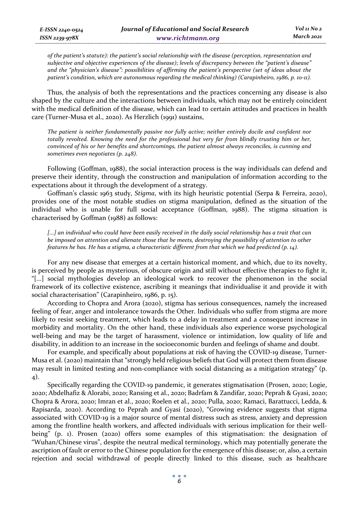*of the patient's statute): the patient's social relationship with the disease (perception, representation and subjective and objective experiences of the disease); levels of discrepancy between the "patient's disease" and the "physician's disease": possibilities of affirming the patient's perspective (set of ideas about the patient's condition, which are autonomous regarding the medical thinking) (Carapinheiro, 1986, p. 10-11).* 

Thus, the analysis of both the representations and the practices concerning any disease is also shaped by the culture and the interactions between individuals, which may not be entirely coincident with the medical definition of the disease, which can lead to certain attitudes and practices in health care (Turner-Musa et al., 2020). As Herzlich (1991) sustains,

*The patient is neither fundamentally passive nor fully active; neither entirely docile and confident nor totally revolted. Knowing the need for the professional but very far from blindly trusting him or her, convinced of his or her benefits and shortcomings, the patient almost always reconciles, is cunning and sometimes even negotiates (p. 248).* 

Following (Goffman, 1988), the social interaction process is the way individuals can defend and preserve their identity, through the construction and manipulation of information according to the expectations about it through the development of a strategy.

Goffman's classic 1963 study, *Stigma*, with its high heuristic potential (Serpa & Ferreira, 2020), provides one of the most notable studies on stigma manipulation, defined as the situation of the individual who is unable for full social acceptance (Goffman, 1988). The stigma situation is characterised by Goffman (1988) as follows:

*[...] an individual who could have been easily received in the daily social relationship has a trait that can be imposed on attention and alienate those that he meets, destroying the possibility of attention to other features he has. He has a stigma, a characteristic different from that which we had predicted (p. 14).* 

For any new disease that emerges at a certain historical moment, and which, due to its novelty, is perceived by people as mysterious, of obscure origin and still without effective therapies to fight it, "[...] social mythologies develop an ideological work to recover the phenomenon in the social framework of its collective existence, ascribing it meanings that individualise it and provide it with social characterisation" (Carapinheiro, 1986, p. 15).

According to Chopra and Arora (2020), stigma has serious consequences, namely the increased feeling of fear, anger and intolerance towards the Other. Individuals who suffer from stigma are more likely to resist seeking treatment, which leads to a delay in treatment and a consequent increase in morbidity and mortality. On the other hand, these individuals also experience worse psychological well-being and may be the target of harassment, violence or intimidation, low quality of life and disability, in addition to an increase in the socioeconomic burden and feelings of shame and doubt.

For example, and specifically about populations at risk of having the COVID-19 disease, Turner-Musa et al. (2020) maintain that "strongly held religious beliefs that God will protect them from disease may result in limited testing and non-compliance with social distancing as a mitigation strategy" (p. 4).

Specifically regarding the COVID-19 pandemic, it generates stigmatisation (Prosen, 2020; Logie, 2020; Abdelhafiz & Alorabi, 2020; Ransing et al., 2020; Badrfam & Zandifar, 2020; Peprah & Gyasi, 2020; Chopra & Arora, 2020; Imran et al., 2020; Roelen et al., 2020; Pulla, 2020; Ramaci, Barattucci, Ledda, & Rapisarda, 2020). According to Peprah and Gyasi (2020), "Growing evidence suggests that stigma associated with COVID-19 is a major source of mental distress such as stress, anxiety and depression among the frontline health workers, and affected individuals with serious implication for their wellbeing" (p. 1). Prosen (2020) offers some examples of this stigmatisation: the designation of "Wuhan/Chinese virus", despite the neutral medical terminology, which may potentially generate the ascription of fault or error to the Chinese population for the emergence of this disease; or, also, a certain rejection and social withdrawal of people directly linked to this disease, such as healthcare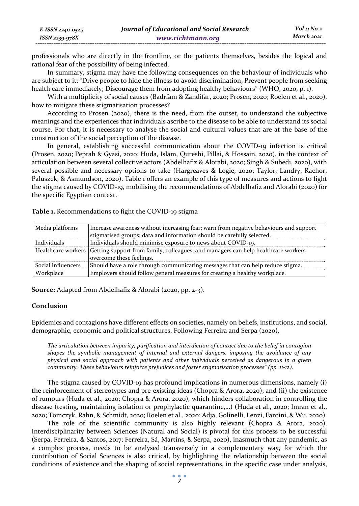| E-ISSN 2240-0524    | Journal of Educational and Social Research | Vol 11 No 2 |
|---------------------|--------------------------------------------|-------------|
| $ISSN$ 2239-97 $8X$ | www.richtmann.org                          | March 2021  |

professionals who are directly in the frontline, or the patients themselves, besides the logical and rational fear of the possibility of being infected.

In summary, stigma may have the following consequences on the behaviour of individuals who are subject to it: "Drive people to hide the illness to avoid discrimination; Prevent people from seeking health care immediately; Discourage them from adopting healthy behaviours" (WHO, 2020, p. 1).

With a multiplicity of social causes (Badrfam & Zandifar, 2020; Prosen, 2020; Roelen et al., 2020), how to mitigate these stigmatisation processes?

According to Prosen (2020), there is the need, from the outset, to understand the subjective meanings and the experiences that individuals ascribe to the disease to be able to understand its social course. For that, it is necessary to analyse the social and cultural values that are at the base of the construction of the social perception of the disease.

In general, establishing successful communication about the COVID-19 infection is critical (Prosen, 2020; Peprah & Gyasi, 2020; Huda, Islam, Qureshi, Pillai, & Hossain, 2020), in the context of articulation between several collective actors (Abdelhafiz & Alorabi, 2020; Singh & Subedi, 2020), with several possible and necessary options to take (Hargreaves & Logie, 2020; Taylor, Landry, Rachor, Paluszek, & Asmundson, 2020). Table 1 offers an example of this type of measures and actions to fight the stigma caused by COVID-19, mobilising the recommendations of Abdelhafiz and Alorabi (2020) for the specific Egyptian context.

**Table 1.** Recommendations to fight the COVID-19 stigma

| Media platforms    | Increase awareness without increasing fear; warn from negative behaviours and support                                            |  |
|--------------------|----------------------------------------------------------------------------------------------------------------------------------|--|
|                    | stigmatised groups; data and information should be carefully selected.                                                           |  |
| Individuals        | Individuals should minimise exposure to news about COVID-19.                                                                     |  |
|                    | Healthcare workers Getting support from family, colleagues, and managers can help healthcare workers<br>overcome these feelings. |  |
| Social influencers | Should have a role through communicating messages that can help reduce stigma.                                                   |  |
| Workplace          | Employers should follow general measures for creating a healthy workplace.                                                       |  |

**Source:** Adapted from Abdelhafiz & Alorabi (2020, pp. 2-3).

### **Conclusion**

Epidemics and contagions have different effects on societies, namely on beliefs, institutions, and social, demographic, economic and political structures. Following Ferreira and Serpa (2020),

*The articulation between impurity, purification and interdiction of contact due to the belief in contagion shapes the symbolic management of internal and external dangers, imposing the avoidance of any physical and social approach with patients and other individuals perceived as dangerous in a given community. These behaviours reinforce prejudices and foster stigmatisation processes" (pp. 11-12).* 

The stigma caused by COVID-19 has profound implications in numerous dimensions, namely (i) the reinforcement of stereotypes and pre-existing ideas (Chopra & Arora, 2020); and (ii) the existence of rumours (Huda et al., 2020; Chopra & Arora, 2020), which hinders collaboration in controlling the disease (testing, maintaining isolation or prophylactic quarantine,…) (Huda et al., 2020; Imran et al., 2020; Tomczyk, Rahn, & Schmidt, 2020; Roelen et al., 2020; Adja, Golinelli, Lenzi, Fantini, & Wu, 2020).

The role of the scientific community is also highly relevant (Chopra & Arora, 2020). Interdisciplinarity between Sciences (Natural and Social) is pivotal for this process to be successful (Serpa, Ferreira, & Santos, 2017; Ferreira, Sá, Martins, & Serpa, 2020), inasmuch that any pandemic, as a complex process, needs to be analysed transversely in a complementary way, for which the contribution of Social Sciences is also critical, by highlighting the relationship between the social conditions of existence and the shaping of social representations, in the specific case under analysis,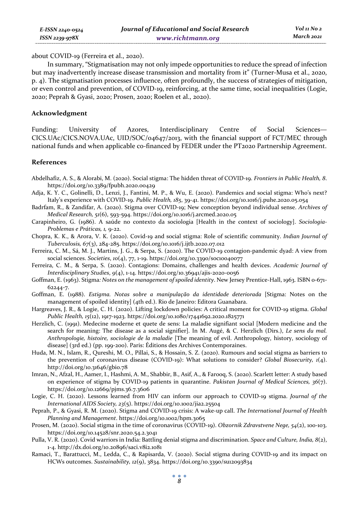about COVID-19 (Ferreira et al., 2020).

In summary, "Stigmatisation may not only impede opportunities to reduce the spread of infection but may inadvertently increase disease transmission and mortality from it" (Turner-Musa et al., 2020, p. 4). The stigmatisation processes influence, often profoundly, the success of strategies of mitigation, or even control and prevention, of COVID-19, reinforcing, at the same time, social inequalities (Logie, 2020; Peprah & Gyasi, 2020; Prosen, 2020; Roelen et al., 2020).

### **Acknowledgment**

Funding: University of Azores, Interdisciplinary Centre of Social Sciences— CICS.UAc/CICS.NOVA.UAc, UID/SOC/04647/2013, with the financial support of FCT/MEC through national funds and when applicable co-financed by FEDER under the PT2020 Partnership Agreement.

### **References**

- Abdelhafiz, A. S., & Alorabi, M. (2020). Social stigma: The hidden threat of COVID-19. *Frontiers in Public Health, 8*. https://doi.org/10.3389/fpubh.2020.00429
- Adja, K. Y. C., Golinelli, D., Lenzi, J., Fantini, M. P., & Wu, E. (2020). Pandemics and social stigma: Who's next? Italy's experience with COVID-19. *Public Health, 185*, 39-41. https://doi.org/10.1016/j.puhe.2020.05.054
- Badrfam, R., & Zandifar, A. (2020). Stigma over COVID-19; New conception beyond individual sense. *Archives of Medical Research, 51*(6), 593-594. https://doi.org/10.1016/j.arcmed.2020.05
- Carapinheiro, G. (1986). A saúde no contexto da sociologia [Health in the context of sociology]. *Sociologia-Problemas e Práticas, 1,* 9-22.
- Chopra, K. K., & Arora, V. K. (2020). Covid-19 and social stigma: Role of scientific community. *Indian Journal of Tuberculosis, 67*(3), 284-285. https://doi.org/10.1016/j.ijtb.2020.07.012
- Ferreira, C. M., Sá, M. J., Martins, J. G., & Serpa, S. (2020). The COVID-19 contagion-pandemic dyad: A view from social sciences. *Societies*, *10*(4), 77, 1-19. https://doi.org/10.3390/soc10040077
- Ferreira, C. M., & Serpa, S. (2020). Contagions: Domains, challenges and health devices. *Academic Journal of Interdisciplinary Studies*, *9*(4), 1-14. https://doi.org/10.36941/ajis-2020-0056
- Goffman, E. (1963). Stigma*: Notes on the management of spoiled identity*. New Jersey Prentice-Hall, 1963. ISBN 0-671- 62244-7.
- Goffman, E. (1988). *Estigma. Notas sobre a manipulação da identidade deteriorada* [Stigma: Notes on the management of spoiled identity] (4th ed.). Rio de Janeiro: Editora Guanabara.
- Hargreaves, J. R., & Logie, C. H. (2020). Lifting lockdown policies: A critical moment for COVID-19 stigma. *Global Public Health, 15*(12), 1917-1923. https://doi.org/10.1080/17441692.2020.1825771
- Herzlich, C. (1991). Medecine moderne et quete de sens: La maladie signifiant social [Modern medicine and the search for meaning: The disease as a social signifier]. In M. Augé, & C. Herzlich (Dirs.), *Le sens du mal. Anthropologie, histoire, sociologie de la maladie* [The meaning of evil. Anthropology, history, sociology of disease] (3rd ed.) (pp. 199-200). Paris: Éditions des Archives Contemporaines.
- Huda, M. N., Islam, R., Qureshi, M. O., Pillai, S., & Hossain, S. Z. (2020). Rumours and social stigma as barriers to the prevention of coronavirus disease (COVID-19): What solutions to consider? *Global Biosecurity, 1*(4). http://doi.org/10.31646/gbio.78
- Imran, N., Afzal, H., Aamer, I., Hashmi, A. M., Shabbir, B., Asif, A., & Farooq, S. (2020). Scarlett letter: A study based on experience of stigma by COVID-19 patients in quarantine. *Pakistan Journal of Medical Sciences, 36*(7). https://doi.org/10.12669/pjms.36.7.3606
- Logie, C. H. (2020). Lessons learned from HIV can inform our approach to COVID-19 stigma. *Journal of the International AIDS Society, 23*(5). https://doi.org/10.1002/jia2.25504
- Peprah, P., & Gyasi, R. M. (2020). Stigma and COVID-19 crisis: A wake-up call. *The International Journal of Health Planning and Management*. https://doi.org/10.1002/hpm.3065
- Prosen, M. (2020). Social stigma in the time of coronavirus (COVID-19). *Obzornik Zdravstvene Nege, 54*(2), 100-103. https://doi.org/10.14528/snr.2020.54.2.3041
- Pulla, V. R. (2020). Covid warriors in India: Battling denial stigma and discrimination. *Space and Culture, India, 8*(2), 1-4. http://dx.doi.org/10.20896/saci.v8i2.1081
- Ramaci, T., Barattucci, M., Ledda, C., & Rapisarda, V. (2020). Social stigma during COVID-19 and its impact on HCWs outcomes. *Sustainability, 12*(9), 3834. https://doi.org/10.3390/su12093834